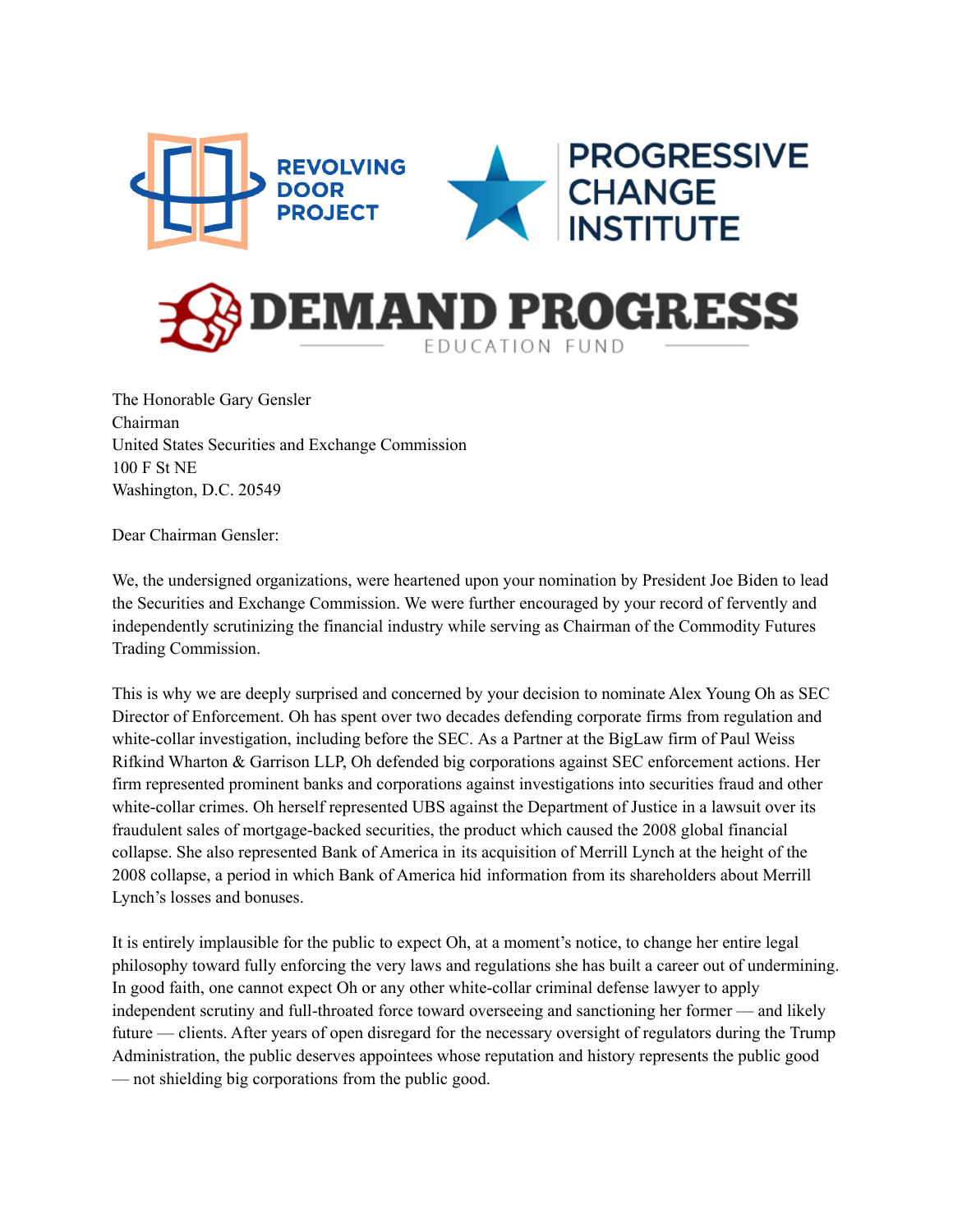

The Honorable Gary Gensler Chairman United States Securities and Exchange Commission 100 F St NE Washington, D.C. 20549

Dear Chairman Gensler:

We, the undersigned organizations, were heartened upon your nomination by President Joe Biden to lead the Securities and Exchange Commission. We were further encouraged by your record of fervently and independently scrutinizing the financial industry while serving as Chairman of the Commodity Futures Trading Commission.

This is why we are deeply surprised and concerned by your decision to nominate Alex Young Oh as SEC Director of Enforcement. Oh has spent over two decades defending corporate firms from regulation and white-collar investigation, including before the SEC. As a Partner at the BigLaw firm of Paul Weiss Rifkind Wharton & Garrison LLP, Oh defended big corporations against SEC enforcement actions. Her firm represented prominent banks and corporations against investigations into securities fraud and other white-collar crimes. Oh herself represented UBS against the Department of Justice in a lawsuit over its fraudulent sales of mortgage-backed securities, the product which caused the 2008 global financial collapse. She also represented Bank of America in its acquisition of Merrill Lynch at the height of the 2008 collapse, a period in which Bank of America hid information from its shareholders about Merrill Lynch's losses and bonuses.

It is entirely implausible for the public to expect Oh, at a moment's notice, to change her entire legal philosophy toward fully enforcing the very laws and regulations she has built a career out of undermining. In good faith, one cannot expect Oh or any other white-collar criminal defense lawyer to apply independent scrutiny and full-throated force toward overseeing and sanctioning her former — and likely future — clients. After years of open disregard for the necessary oversight of regulators during the Trump Administration, the public deserves appointees whose reputation and history represents the public good — not shielding big corporations from the public good.